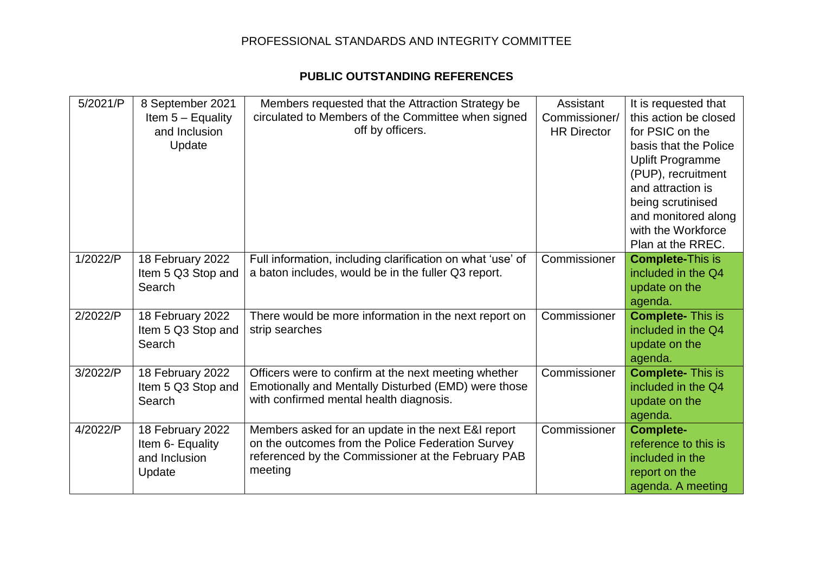## PROFESSIONAL STANDARDS AND INTEGRITY COMMITTEE

## **PUBLIC OUTSTANDING REFERENCES**

| 5/2021/P | 8 September 2021<br>Item $5 -$ Equality<br>and Inclusion<br>Update | Members requested that the Attraction Strategy be<br>circulated to Members of the Committee when signed<br>off by officers.                                              | Assistant<br>Commissioner/<br><b>HR Director</b> | It is requested that<br>this action be closed<br>for PSIC on the<br>basis that the Police<br><b>Uplift Programme</b><br>(PUP), recruitment<br>and attraction is<br>being scrutinised<br>and monitored along<br>with the Workforce<br>Plan at the RREC. |
|----------|--------------------------------------------------------------------|--------------------------------------------------------------------------------------------------------------------------------------------------------------------------|--------------------------------------------------|--------------------------------------------------------------------------------------------------------------------------------------------------------------------------------------------------------------------------------------------------------|
| 1/2022/P | 18 February 2022<br>Item 5 Q3 Stop and<br>Search                   | Full information, including clarification on what 'use' of<br>a baton includes, would be in the fuller Q3 report.                                                        | Commissioner                                     | <b>Complete-This is</b><br>included in the Q4<br>update on the<br>agenda.                                                                                                                                                                              |
| 2/2022/P | 18 February 2022<br>Item 5 Q3 Stop and<br>Search                   | There would be more information in the next report on<br>strip searches                                                                                                  | Commissioner                                     | <b>Complete-This is</b><br>included in the Q4<br>update on the<br>agenda.                                                                                                                                                                              |
| 3/2022/P | 18 February 2022<br>Item 5 Q3 Stop and<br>Search                   | Officers were to confirm at the next meeting whether<br>Emotionally and Mentally Disturbed (EMD) were those<br>with confirmed mental health diagnosis.                   | Commissioner                                     | <b>Complete-This is</b><br>included in the Q4<br>update on the<br>agenda.                                                                                                                                                                              |
| 4/2022/P | 18 February 2022<br>Item 6- Equality<br>and Inclusion<br>Update    | Members asked for an update in the next E&I report<br>on the outcomes from the Police Federation Survey<br>referenced by the Commissioner at the February PAB<br>meeting | Commissioner                                     | <b>Complete-</b><br>reference to this is<br>included in the<br>report on the<br>agenda. A meeting                                                                                                                                                      |